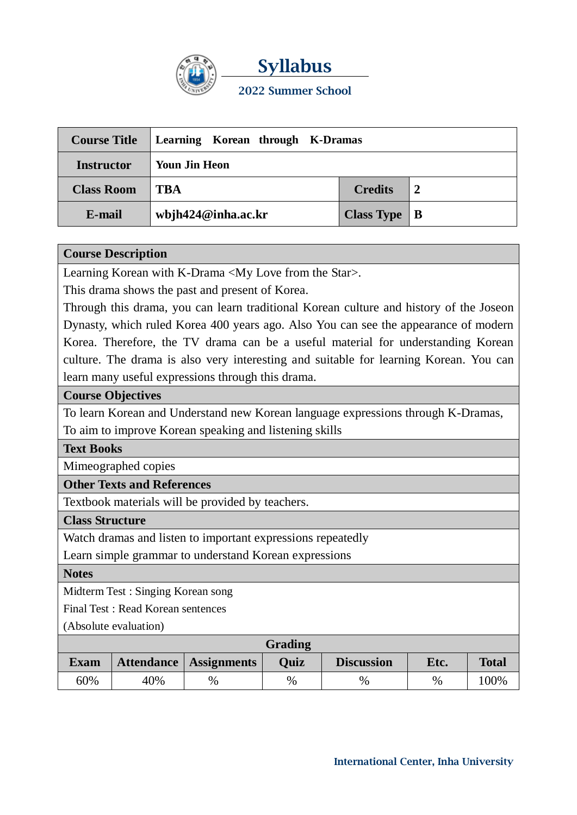

**Syllabus 2022 Summer School**

| <b>Course Title</b> | Learning Korean through K-Dramas |                      |  |  |  |
|---------------------|----------------------------------|----------------------|--|--|--|
| <b>Instructor</b>   | Youn Jin Heon                    |                      |  |  |  |
| <b>Class Room</b>   | <b>TBA</b>                       | <b>Credits</b>       |  |  |  |
| E-mail              | wbjh $424@$ inha.ac.kr           | Class Type $\vert$ B |  |  |  |

### **Course Description**

Learning Korean with K-Drama <My Love from the Star>.

This drama shows the past and present of Korea.

Through this drama, you can learn traditional Korean culture and history of the Joseon Dynasty, which ruled Korea 400 years ago. Also You can see the appearance of modern Korea. Therefore, the TV drama can be a useful material for understanding Korean culture. The drama is also very interesting and suitable for learning Korean. You can learn many useful expressions through this drama.

## **Course Objectives**

To learn Korean and Understand new Korean language expressions through K-Dramas, To aim to improve Korean speaking and listening skills

### **Text Books**

Mimeographed copies

## **Other Texts and References**

Textbook materials will be provided by teachers.

### **Class Structure**

Watch dramas and listen to important expressions repeatedly

Learn simple grammar to understand Korean expressions

## **Notes**

Midterm Test : Singing Korean song

Final Test : Read Korean sentences

(Absolute evaluation)

| Grading     |     |                        |      |                   |      |              |  |  |
|-------------|-----|------------------------|------|-------------------|------|--------------|--|--|
| <b>Exam</b> |     | Attendance Assignments | Ouiz | <b>Discussion</b> | Etc. | <b>Total</b> |  |  |
| 60%         | 40% | $\%$                   | %    | $\%$              | $\%$ | 100%         |  |  |